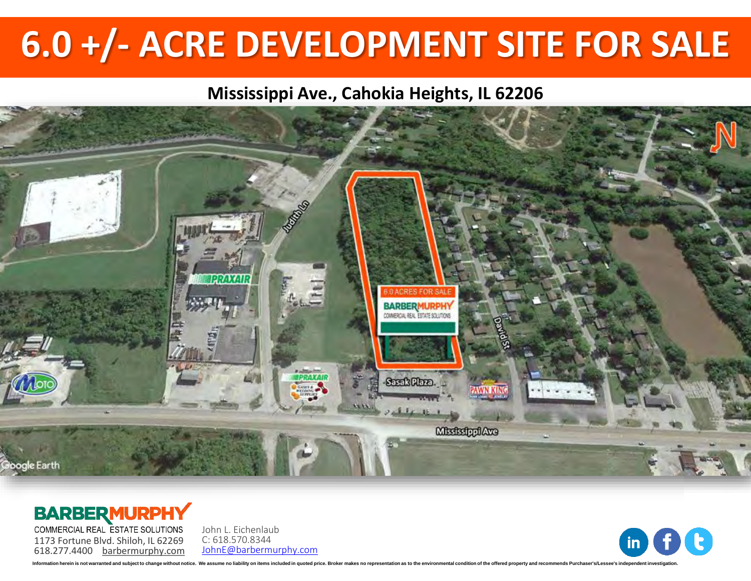# **6.0 +/- ACRE DEVELOPMENT SITE FOR SALE**

### **Mississippi Ave., Cahokia Heights, IL 62206**



### **BARBERMURPHY**

COMMERCIAL REAL ESTATE SOLUTIONS 1173 Fortune Blvd. Shiloh, IL 62269 618.277.4400 [barbermurphy.com](http://www.barbermurphy.com) John L. Eichenlaub C: 618.570.8344 [JohnE@barbermurphy.com](mailto:JohnE@barbermurphy.com)



ion berein is not warranted and subject to change without notice. We assume no liability on items included in quoted price. Broker makes no representation as to the environn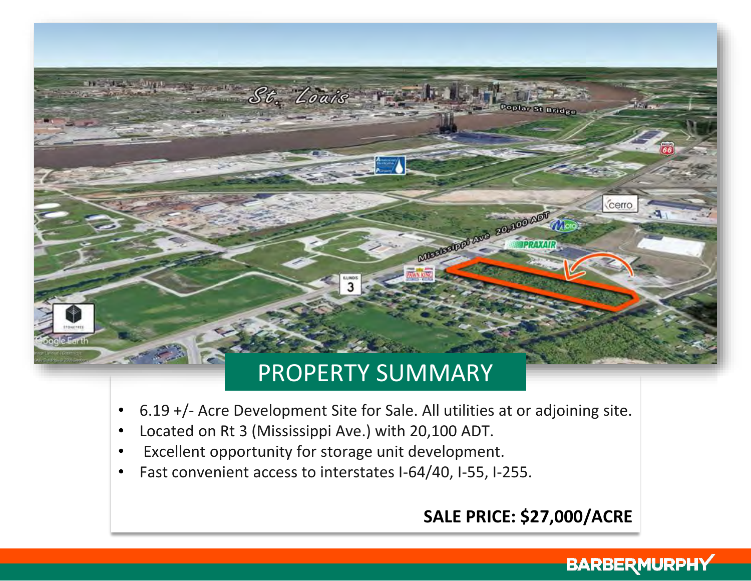

- 6.19 +/- Acre Development Site for Sale. All utilities at or adjoining site.
- Located on Rt 3 (Mississippi Ave.) with 20,100 ADT.
- Excellent opportunity for storage unit development.
- Fast convenient access to interstates I-64/40, I-55, I-255.

## **SALE PRICE: \$27,000/ACRE**